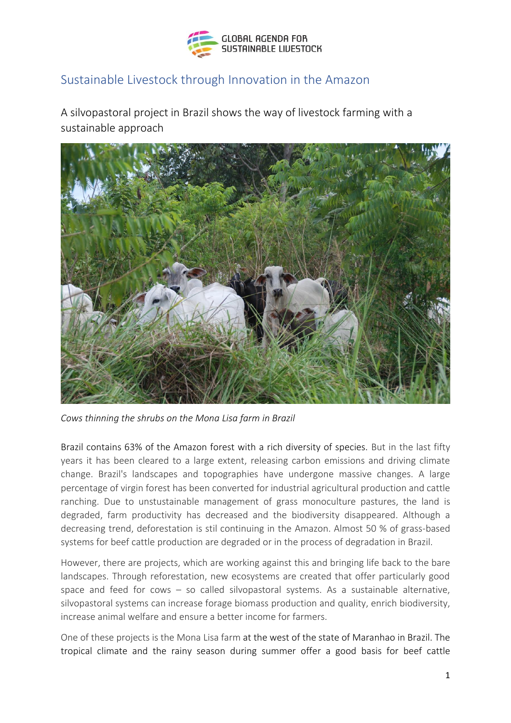

## Sustainable Livestock through Innovation in the Amazon

A silvopastoral project in Brazil shows the way of livestock farming with a sustainable approach



*Cows thinning the shrubs on the Mona Lisa farm in Brazil*

Brazil contains 63% of the Amazon forest with a rich diversity of species. But in the last fifty years it has been cleared to a large extent, releasing carbon emissions and driving climate change. Brazil's landscapes and topographies have undergone massive changes. A large percentage of virgin forest has been converted for industrial agricultural production and cattle ranching. Due to unstustainable management of grass monoculture pastures, the land is degraded, farm productivity has decreased and the biodiversity disappeared. Although a decreasing trend, deforestation is stil continuing in the Amazon. Almost 50 % of grass-based systems for beef cattle production are degraded or in the process of degradation in Brazil.

However, there are projects, which are working against this and bringing life back to the bare landscapes. Through reforestation, new ecosystems are created that offer particularly good space and feed for cows – so called silvopastoral systems. As a sustainable alternative, silvopastoral systems can increase forage biomass production and quality, enrich biodiversity, increase animal welfare and ensure a better income for farmers.

One of these projects is the Mona Lisa farm at the west of the state of Maranhao in Brazil. The tropical climate and the rainy season during summer offer a good basis for beef cattle